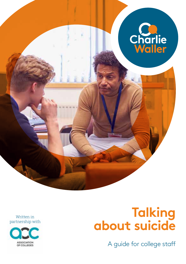

Written in partnership with



# **Talking about suicide**

A guide for college staff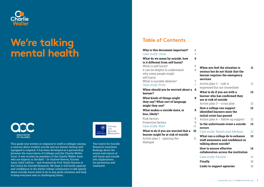

# We're talking mental health



This guide was written in response to staff in colleges raising a concern about student suicide and not always feeling well equipped to respond. It has been developed as a partnership between the Association of Colleges and the Charlie Waller Trust. It was written by members of the Charlie Waller team who are experts in the field – Dr Andrew Reeves, Kirsten Amis, Kath Caffrey – and reviewed by Prof. Keith Hawton at the Centre for Suicide Research. We hope it will build capacity and confidence in the whole college community to talk openly about suicide, know what to do in any given situation and help to keep everyone safe in challenging times.



The Centre for Suicide Research translates findings about the extent and nature of self-harm and suicide into implications for prevention and treatment.

## **Table of Contents**

| Why is this document important?<br>Case study: Omar                                                                                                                | 4<br>5                           |                                                                                                                           |          |
|--------------------------------------------------------------------------------------------------------------------------------------------------------------------|----------------------------------|---------------------------------------------------------------------------------------------------------------------------|----------|
| What do we mean by suicide, how<br>is it different from self-harm?                                                                                                 | 6                                |                                                                                                                           |          |
| What is self-harm?<br>It can be helpful to understand<br>why some people might<br>self-harm                                                                        | 6<br>6                           | When you feel the situation is<br>serious but do not think that the<br>learner requires the emergency<br>services         | 11       |
| What is suicidal ideation?<br>Case study: River<br>When should you be worried about a<br>learner?<br>What kinds of things might<br>they say? What sort of language | $\overline{7}$<br>$\overline{7}$ | Action plan $2 -$ risk is<br>expressed but not immediate                                                                  | 11       |
|                                                                                                                                                                    | 8<br>8                           | What to do if you are with a<br>learner who has confirmed they<br>are at risk of suicide<br>Action plan $3$ – crisis plan | 12<br>12 |
| might they use?<br>What makes a suicide more, or<br>less, likely?                                                                                                  | 9                                | How a college can support<br>identified learners once the<br>initial crisis has passed                                    | 12       |
| Risk factors<br>Protective factors<br>Case study: Noor                                                                                                             | 9<br>9<br>10                     | Action plan $4$ – follow-up support<br>In the unfortunate event a suicide<br>occurs                                       | 12<br>13 |
| What to do if you are worried that a                                                                                                                               | 10                               | Case study: Niamh and Adedayo                                                                                             | 13       |
| learner might be at risk of suicide<br>Action plan 1 - opening the<br>dialogue                                                                                     | 11                               | What can a college do to enhance<br>staff awareness and confidence in<br>talking about suicide?                           | 13       |
|                                                                                                                                                                    |                                  | How to ensure effective<br>collaboration across the institution                                                           | 14       |
|                                                                                                                                                                    |                                  | Case study: Pauline                                                                                                       | 14       |
|                                                                                                                                                                    |                                  | <b>Finally</b>                                                                                                            | 14       |

**Links to support agencies** 15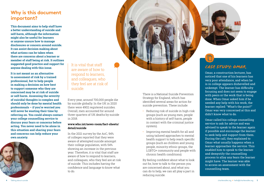# **Why is this document important?**

**This document aims to help staff have a better understanding of suicide and self-harm, although the information might also be useful for learners or anyone unsure how to manage disclosures or concern around suicide. It can assist decision making about what actions can be taken when there are concerns about a learner or member of staff being at risk. It outlines suggested good practice and support for anyone dealing with this issue.** 

**It is not meant as an alternative to assessment of risk by a trained professional, but to help people in making a decision on how best to support someone who they are concerned may be at risk of suicide or self-harm. Assessing the severity of suicidal thoughts is complex and should only be done by mental health professionals – if you're worried you will never be wasting their time by referring on. You could always contact your college counselling service to discuss your fears or concerns before acting. You never need to be alone in this situation and sharing your fears and concerns can help reduce your own anxiety.** 



It is vital that staff are aware of how to respond to learners, and colleagues, who they feel are at risk of suicide.

Every year, around 700,000 people die by suicide globally. In the UK in 2020 there were 4902 registered suicides. Overall, men accounted for around three-quarters of UK deaths by suicide in 2018.

#### **www.who.int/news-room/fact-sheets/ detail/suicide**

In the 2021 survey by the AoC, 94% of colleges reported that they were aware of attempted suicide amongst their college population, with 54% showing an increase in the previous year. Therefore, it is vital that staff are aware of how to respond to learners. and colleagues, who they feel are at risk of suicide. This includes having the confidence and language to know what to do.

There is a National Suicide Prevention Strategy for England, which has identified several areas for action for suicide prevention. These include:

- Reducing risk of suicide in high-risk groups (such as young men, people with a history of self-harm, people in contact with the criminal justice system).
- Improving mental health for all and using tailored approaches to mental health support to help reach specific groups (such as children and young people, minority ethnic groups, the LGBTQ+ community and people with chronic health conditions).

By feeling confident about what to look out for, how to talk to the person you are concerned about, and what you can do to help, we can all play a part in reducing suicide.



# *Case Study: Omar*

Omar, a construction lecturer, has noticed that one of his learners has very poor attendance, and when he is in college appears dishevelled and unkempt. The learner has difficulty focusing and does not seem to engage with peers or the work that is being done. When Omar asked him if he needed any help with his work, the learner replied: "What's the point?" Omar was very concerned at this and didn't know what to do.

Omar called his college counselling service to ask for advice and was advised to speak to the learner again if possible and encourage the learner to seek help and support from them. During the call, they explained to Omar what usually happens when a learner approaches the service. This enabled him to speak to the learner and demystify the counselling process to allay any fears the learner might have. The learner was able to access an assessment with the counselling team.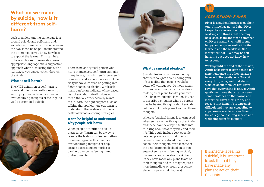# **What do we mean by suicide, how is it different from selfharm?**

Lack of understanding can create fear around suicide and self-harm and, sometimes, there is confusion between the two. It can be helpful to understand the difference, so you know how best to support the learner. This can help to have an honest conversation using appropriate language and a supportive approach when discussing this with a learner, so you can establish the risk of suicide.

There is no one typical person who hurts themselves. Self-harm can take many forms, including self-injury, selfpoisoning and sometimes can include risky behaviours such as getting into fights or abusing alcohol. While selfharm can be an indicator of increased risk of suicide, in itself it does not mean that a learner actively wants to die. With the right support, such as talking therapy, learners can learn to understand themselves and create better alternative coping strategies. **It can be helpful to understand** 

**why people self-harm**

or disconnected.

When people are suffering acute distress, self-harm can be a way to release the feelings; or feel something more manageable. It can reduce overwhelming thoughts or help escape distressing memories. It can help overcome feeling numb

### **What is self-harm?**

The NICE definition of self-harm is non-fatal intentional self-poisoning or self-injury. It includes acts to deal with overwhelming thoughts or feelings, as well as attempted suicide.





#### **What is suicidal ideation?**

Suicidal feelings can mean having abstract thoughts about ending your life or feeling that people would be better off without you. Or it can mean thinking about methods of suicide or making clear plans to take your own life. The term 'suicidal ideation' is used to describe a situation where a person may be having thoughts about suicide but have not made plans to act on those thoughts.

Whereas 'suicidal intent' is a term used when someone has thoughts of suicide and these have developed further into thinking about how they may end their life. This could include very specific, detailed plans about what they will do and when, or a stated intention to act on their thoughts, even if some of the details are not decided on. If you suspect someone is feeling suicidal, it is important to be able to ask them if they have made any plans to act on their thoughts, and this may require a more immediate, or urgent, response (depending on what they say).



River is a student hairdresser. Their tutor Annie has noticed that River keeps their sleeves down when working and thinks that she may have seen scars and fresh scratches on River's arms. River still seems happy and engages well with other learners and the workload. She is worried that River may be selfharming but does not know how to respond.

Waiting until the end of the session, Annie asks River to stay behind for a moment once the other learners have left. She gently asks River if everything is ok, and that she is worried about them. At first River says that everything is fine, so Annie gently mentions that she has seen some scratches on their arms and is worried. River starts to cry and reveals that homelife is extremely difficult and they are struggling to cope. Annie is able to refer River to the college counselling service and wellbeing team for support.

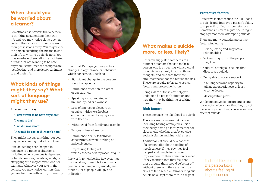# **When should you be worried about a learner?**

Sometimes it is obvious that a person is thinking about ending their own life and you may notice signs, such as getting their affairs in order or giving their possessions away. You may notice the person acquiring the means to end their life or writing a suicide note. You may overhear them talking about being a burden, or not wanting to be here anymore. Sometimes the thoughts are just fleeting, and there is no real intent to end their life.

# **What kinds of things might they say? What sort of language might they use?**

A person might say:

- **"I don't want to be here anymore"**
- **"I want to die"**
- **"I wish I was dead"**

#### **"It would be easier if I wasn't here"**

They might not say anything, but you may have a feeling that all is not well.

#### Suicidal feelings can happen in response to a range of situations, including when someone is depressed or highly anxious, hopeless, lonely, or struggling with major transitions, for example. Whatever your role in the college, you may notice learners that you are familiar with acting differently



to normal. Perhaps you may notice changes in appearance or behaviour which concern you, such as:

- Significant change in the person's weight or appetite.
- Diminished attention to clothes or appearance.
- Speaking and/or moving with unusual speed or slowness.
- Loss of interest or pleasure in usual activities (e.g. hobbies, outdoor activities, hanging around with friends).
- Withdrawal from family and friends.
- Fatigue or loss of energy.
- Diminished ability to think or concentrate, slowed thinking or indecisiveness.
- Expressing feelings of worthlessness, self-reproach, or guilt.

It is worth remembering however, that it is not always possible to tell that a person is contemplating suicide, and around 30% of people will give no indication.

# **What makes a suicide more, or less, likely?**

Research suggests that there are a number or factors that can make a person who is struggling with suicidal thoughts more likely to act on those thoughts, and also that there are circumstances that can reduce the risk. These are usually referred to as risk factors and protective factors.

Being aware of these can help you understand a person's situation and how they may be thinking of taking their own life.

#### **Risk factors**

These increase the likelihood of suicide.

There are many known risk factors, including having attempted suicide previously, having a family member or close friend who has died by suicide, social isolation and financial stress.

Additionally, it should be a concern if a person talks about a feeling of hopelessness, if they say they feel trapped and unable to consider improvement in their situation or mood, if they mention that they feel that those around them would be better off without them, or if they are having a crisis of faith when cultural or religious beliefs have kept them safe in the past.

### **Protective factors**

Protective factors reduce the likelihood of suicide and improve a person's ability to cope with difficult circumstances. Sometimes it can take just one thing to stop a person from attempting suicide.

There are many potential protective factors, including:

- Having loving and supportive relationships.
- Not wanting to hurt the people they love.
- Cultural or religious beliefs that discourage suicide.
- Being able to access support.
- A willingness and capacity to talk about experiences, at least to some degree.
- Making future plans.

While protective factors are important, it is crucial to be aware that they do not necessarily mean that a person will not attempt suicide.

It should be a concern if a person talks about a feeling of hopelessness.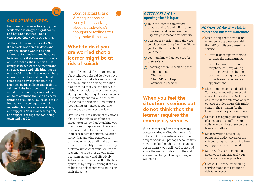### *Case Study: Noor*

Noor seems to always be crying. Her work rate has dropped significantly, and her English tutor Paul is concerned that Noor is struggling.

At the end of a lesson he asks Noor if she is ok. Noor breaks down and says she doesn't want to be here anymore. Paul feels scared because he is not sure if she means at college or if she means she is suicidal. He gently asks her what she means and she cries more and tells him that no one would miss her if she wasn't here anymore. Paul has just completed some suicide awareness training arranged by his college and is able to ask her if she has thoughts of dying, and if it is something she would act on. Noor confirms that she has been thinking of suicide. Paul is able to put into action the college action plan regarding learners who are at risk, and supports Noor in accessing help and support through the wellbeing team and her GP.



Don't be afraid to ask direct questions or worry that by asking about an individual's thoughts or feelings you may make things worse.

# **What to do if you are worried that a learner might be at risk of suicide**

It is really helpful if you can be clear about what you should do if you have any concerns that a learner is at risk of suicide, such as having an action plan in mind that you can carry out without hesitation or worrying about 'doing the right thing'. This can reduce your anxiety and make it easier for you to make a decision. Sometimes just having an honest supportive conversation can avert a crisis.

Don't be afraid to ask direct questions about an individual's feelings or thoughts or worry that by asking you may make things worse – there is no evidence that talking about suicide increases a person's intent. We often worry that knowing someone is thinking of suicide will make us more anxious; the reality is that it is always better to know what situation we are responding to so that we can make decisions quickly and effectively. Asking about suicide is often the best option, as by simply naming it, it can reduce the risk of someone acting on their thoughts

### *Action plan 1* **– opening the dialogue**

- $\sigma$  Take the learner somewhere private and safe and talk to them in a direct and caring manner. Explain your reasons for concern.
- $\mathcal{D}$  Don't guess ask them if they are considering ending their life: "Have you had thoughts about ending your life?"
- $\mathcal{A}$  Let them know that you care for their safety.
- $\oslash$  Encourage them to seek help via:
	- Their parent.
	- Their carer.
	- Their GP or college counselling service.

# **When you feel the situation is serious but do not think that the learner requires the emergency services**

If the learner confirms that they are contemplating ending their own life but are not in immediate or imminent danger or crisis – perhaps because they have suicidal thoughts but no plans to act on them – you will need to act and share the responsibility with the staff who are in charge of safeguarding or wellbeing.

### *Action plan 2* **– risk is expressed but not immediate**

- $\oslash$  Offer to help them arrange an emergency appointment with their GP or college counselling service.
	- Offer to accompany them to arrange the appointment.
	- Offer to make the initial telephone call, explaining the urgency of the situation and then passing the phone to the learner to arrange an appointment.
- $\emptyset$  Give them the contact details for Samaritans and other relevant contacts from Section 6 of this document. If the situation occurs outside of office hours this might contain the situation for the learner until they re-commence.
- $\oslash$  Contact the appropriate member of safeguarding staff in your college and update them on the learner's welfare.
- $\emptyset$  Make a written note of key points and action taken for the safeguarding team so that followup support can be initiated.
- $\emptyset$  Speak with your line manager about your concerns and your actions as soon as possible.
- $\emptyset$  Contact HR or the counselling service manager to arrange a debriefing session.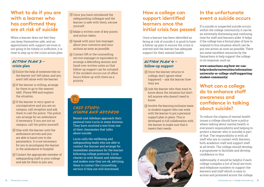# **What to do if you are with a learner who has confirmed they are at risk of suicide**

When a learner does not feel they can keep themselves safe, and an appointment with support services is not going to be timely or sufficient, it is time to step up to the crisis action plan.

#### *Action plan 3* **– crisis plan**

- $\emptyset$  Enlist the help of someone else so the learner isn't left alone, and you aren't left alone with the learner.
- $\emptyset$  If the learner is willing, arrange for them to go to the nearest A&E. Phone 999 and explain the situation.
- $\emptyset$  If the learner is very upset or uncooperative and you are on campus, call reception and ask them to call the police. The police can arrange for an ambulance if necessary. If you are not on campus, call the police yourself.
- $\oslash$  Stay with the learner until the ambulance arrives and you are able to hand over to the paramedics. It is not necessary for you to accompany the learner in the ambulance to hospital.
- $\oslash$  Contact the appropriate member of safeguarding staff in your college and ask for them to join you.
- $\emptyset$  Once you have introduced the safeguarding colleague and the learner is safe with them, excuse yourself.
- $M$  Make a written note of key points and action taken.
- $\emptyset$  Speak with your line manager about your concerns and your actions as soon as possible.
- $\oslash$  Contact HR or the counselling service manager or equivalent to arrange a debriefing session and hand over written notes so that follow-up support can be initiated. If the incident occurs out of office hours follow up with them as a priority.

# *Case Study: Niamh and Adedayo*

Niamh and Adedayo approach their pastoral tutor Lucia in some distress. They have received a text from one of their classmates that talks about suicide.

Lucia calls the wellbeing and safeguarding leads who are able to contact the learner and arrange for immediate assistance for the learner following college protocols. Lucia checks in with Niamh and Adedayo and makes sure they are ok, advising them to contact the counselling service if they are still distressed.

# **How a college can support identified learners once the initial crisis has passed**

Once a learner has been identified as being at risk of suicide it is good to have a follow-up plan to ensure the crisis is averted and the learner has adequate support for their mental health.

### *Action plan 4* **– follow-up support**

- Once the learner returns to college, don't ignore what happened – ask the learner how they are.
- $\emptyset$  Ask the learner who they want to know about the situation but don't tell anyone who doesn't need to know.
- $\emptyset$  Involve the learning inclusion team or student support who can work with the learner to put a personal support plan in place. This is developed in full collaboration with the learner to make sure that it meets their needs.



# **In the unfortunate event a suicide occurs**

If a suicide or suspected suicide occurs within the college community, it can be an extremely distressing and confusing time for staff and learners alike. It helps if the college has a formal plan of how to respond to this situation which can be put into action as soon as possible. There are some excellent resources by the Samaritans to help support the college in its response, such as:

**www.samaritans.org/how-we-canhelp/schools/universities/informationuniversity-or-college-staff/supportingstudent-community/** 

# **What can a college do to enhance staff awareness and confidence in talking about suicide?**

To reduce the stigma of mental health issues a college should have a policy where talking about mental health is everyone's responsibility and helping to protect a learner who is suicidal is part of that. The responsibility is with all staff who are in contact with learners, both academic staff and support staff at all levels. The college should develop a programme to facilitate and develop confidence in this.

Additionally, it would be helpful if each college compiles a list of local services and telephone numbers to support the learners and staff which is easy to access and promoted across the college.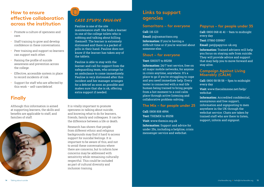# **How to ensure effective collaboration across the institution**

- Promote a culture of openness and care.
- Staff training to grow and develop confidence in these conversations.
- Peer training and support so learners can support each other.
- Raising the profile of suicide awareness and prevention across the college.
- Effective, accessible system in place to record incidents of risk.
- Support for staff who are affected by this work – self-care/debrief.

# **Finally**

Although this information is aimed at supporting learners, the skills and benefits are applicable to staff, and families of staff.



# *Case Study: pauline*

#### Pauline is one of the site

maintenance staff. She finds a learner in one of the college toilets who is sobbing and talking about killing themself. The learner is extremely distressed and there is a packet of pills in their hand. Pauline does not know if the learner has taken any of the tablets.

Pauline is able to stay with the learner and call for support from the safeguarding team, who arrange for an ambulance to come immediately. Pauline is very distressed after this incident and her manager arranges for a debrief as soon as possible and makes sure that she is ok, offering extra support if needed.

It is vitally important to promote openness in talking about suicide, and knowing what to do for learners, friends, family and colleagues. It can be the difference between a life or death.

Research has shown that people from different ethnic and religious backgrounds may find it hard to access support for suicidal feelings. It is important to be aware of this, and not to avoid these conversations where there are concerns, but to inform how concerns may be addressed with sensitivity while remaining culturally respectful. This could be included as part of cultural diversity and inclusion training.

## **Links to support agencies**

#### **Samaritans – for everyone**

#### **Call:** 116 123

**Email:** jo@samaritans.org

**Information:** If you're having a difficult time or if you're worried about someone else.

#### **Shout – for everyone**

#### **Text:** SHOUT to 85258

**Information:** 24/7 text service, free on all major mobile networks, for anyone in crisis anytime, anywhere. It's a place to go if you're struggling to cope and you need immediate help. Every texter is connected with a real-life human being trained to bring people from a hot moment to a cool calm place through active listening and collaborative problem-solving.

#### **The Mix – for people under 25**

**Call:** 0808 808 4994 **Text:** THEMIX to 85258 **Visit:** www.themix.org.uk **Information:** Support and advice for under 25s, including a helpline, crisis messenger service and webchat.

#### **Papyrus – for people under 35**

**Call:** 0800 068 41 41 – 9am to midnight every day

**Text:** 07860 039967

**Email:** pat@papyrus-uk.org

**Information:** Trained advisers will help you focus on staying safe from suicide. They will provide advice and support that may help you to move forward and stay alive.

#### **Campaign Against Living Miserably (CALM)**

**Call:** 0800 58 58 58 – 5pm to midnight every day

**Visit:** www.thecalmzone.net/help/ webchat

**Information:** Accredited confidential, anonymous and free support, information and signposting to men anywhere in the UK through the webchat service. Chats are taken by trained staff who are there to listen, support, inform and signpost.